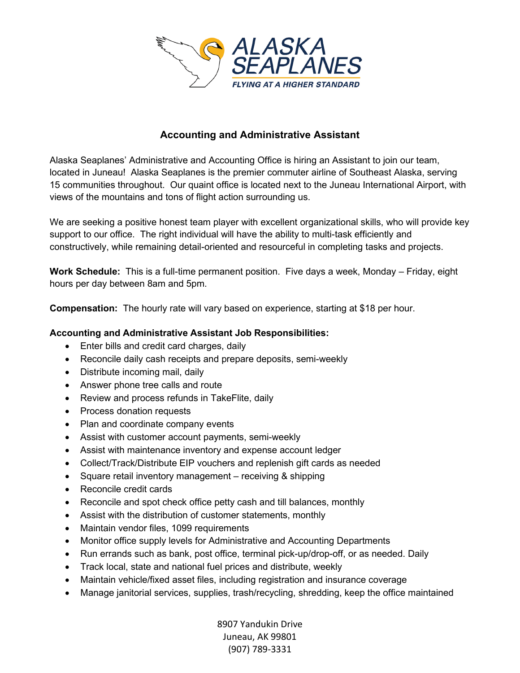

## **Accounting and Administrative Assistant**

Alaska Seaplanes' Administrative and Accounting Office is hiring an Assistant to join our team, located in Juneau! Alaska Seaplanes is the premier commuter airline of Southeast Alaska, serving 15 communities throughout. Our quaint office is located next to the Juneau International Airport, with views of the mountains and tons of flight action surrounding us.

We are seeking a positive honest team player with excellent organizational skills, who will provide key support to our office. The right individual will have the ability to multi-task efficiently and constructively, while remaining detail-oriented and resourceful in completing tasks and projects.

**Work Schedule:** This is a full-time permanent position. Five days a week, Monday – Friday, eight hours per day between 8am and 5pm.

**Compensation:** The hourly rate will vary based on experience, starting at \$18 per hour.

## **Accounting and Administrative Assistant Job Responsibilities:**

- Enter bills and credit card charges, daily
- Reconcile daily cash receipts and prepare deposits, semi-weekly
- Distribute incoming mail, daily
- Answer phone tree calls and route
- Review and process refunds in TakeFlite, daily
- Process donation requests
- Plan and coordinate company events
- Assist with customer account payments, semi-weekly
- Assist with maintenance inventory and expense account ledger
- Collect/Track/Distribute EIP vouchers and replenish gift cards as needed
- Square retail inventory management receiving & shipping
- Reconcile credit cards
- Reconcile and spot check office petty cash and till balances, monthly
- Assist with the distribution of customer statements, monthly
- Maintain vendor files, 1099 requirements
- Monitor office supply levels for Administrative and Accounting Departments
- Run errands such as bank, post office, terminal pick-up/drop-off, or as needed. Daily
- Track local, state and national fuel prices and distribute, weekly
- Maintain vehicle/fixed asset files, including registration and insurance coverage
- Manage janitorial services, supplies, trash/recycling, shredding, keep the office maintained

8907 Yandukin Drive Juneau, AK 99801 (907) 789-3331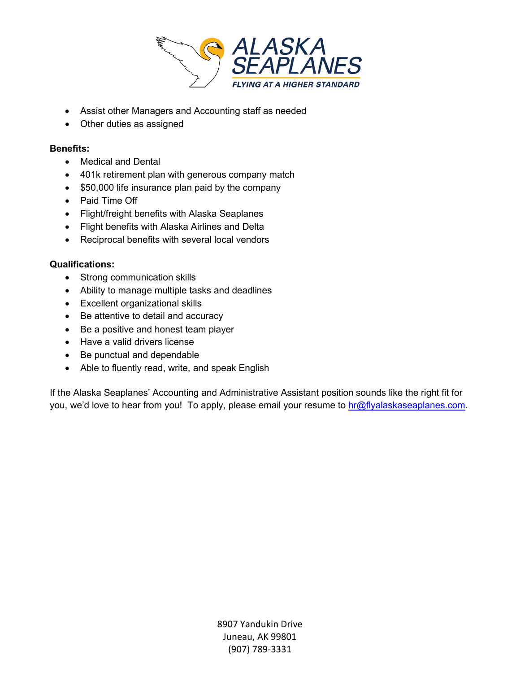

- Assist other Managers and Accounting staff as needed
- Other duties as assigned

## **Benefits:**

- Medical and Dental
- 401k retirement plan with generous company match
- \$50,000 life insurance plan paid by the company
- Paid Time Off
- Flight/freight benefits with Alaska Seaplanes
- Flight benefits with Alaska Airlines and Delta
- Reciprocal benefits with several local vendors

## **Qualifications:**

- Strong communication skills
- Ability to manage multiple tasks and deadlines
- Excellent organizational skills
- Be attentive to detail and accuracy
- Be a positive and honest team player
- Have a valid drivers license
- Be punctual and dependable
- Able to fluently read, write, and speak English

If the Alaska Seaplanes' Accounting and Administrative Assistant position sounds like the right fit for you, we'd love to hear from you! To apply, please email your resume to [hr@flyalaskaseaplanes.com.](mailto:hr@flyalaskaseaplanes.com)

> 8907 Yandukin Drive Juneau, AK 99801 (907) 789-3331